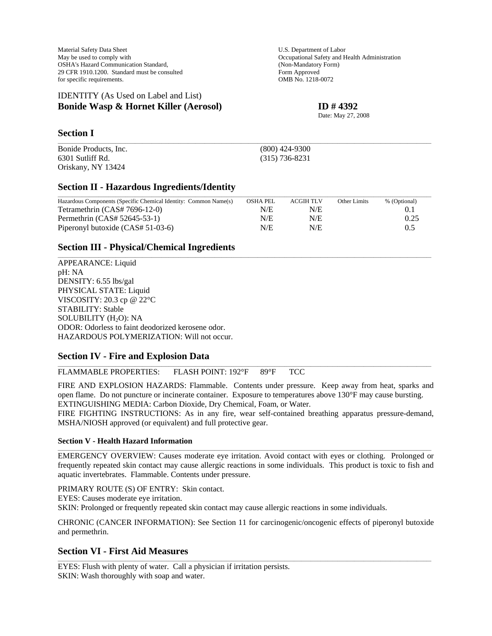Material Safety Data Sheet U.S. Department of Labor May be used to comply with  $Occupational$  Safety and Health Administration OSHA's Hazard Communication Standard, (Non-Mandatory Form)<br>
29 CFR 1910.1200. Standard must be consulted Form Approved 29 CFR 1910.1200. Standard must be consulted for specific requirements. OMB No. 1218-0072

### IDENTITY (As Used on Label and List) **Bonide Wasp & Hornet Killer (Aerosol) ID # 4392**

Date: May 27, 2008

# **Section I**

Bonide Products, Inc. (800) 424-9300 6301 Sutliff Rd. (315) 736-8231 Oriskany, NY 13424

# **Section II - Hazardous Ingredients/Identity**

| Hazardous Components (Specific Chemical Identity: Common Name(s) | <b>OSHA PEL</b> | <b>ACGIH TLV</b> | Other Limits | % (Optional) |
|------------------------------------------------------------------|-----------------|------------------|--------------|--------------|
| Tetramethrin $(CAS# 7696-12-0)$                                  | N/E             | N/E              |              | 0.1          |
| Permethrin (CAS# 52645-53-1)                                     | N/E             | N/E              |              | 0.25         |
| Piperonyl butoxide (CAS# 51-03-6)                                | N/E             | N/E              |              | 0.5          |

\_\_\_\_\_\_\_\_\_\_\_\_\_\_\_\_\_\_\_\_\_\_\_\_\_\_\_\_\_\_\_\_\_\_\_\_\_\_\_\_\_\_\_\_\_\_\_\_\_\_\_\_\_\_\_\_\_\_\_\_\_\_\_\_\_\_\_\_\_\_\_\_\_\_\_\_\_\_\_\_\_\_\_\_\_\_\_\_\_\_\_\_\_\_\_\_\_\_\_\_\_\_\_\_\_\_\_\_\_\_\_\_\_\_\_\_\_\_\_\_\_\_\_\_\_\_\_\_\_\_\_\_\_\_\_\_\_\_\_\_\_\_\_\_\_\_\_\_\_\_\_\_\_\_\_

\_\_\_\_\_\_\_\_\_\_\_\_\_\_\_\_\_\_\_\_\_\_\_\_\_\_\_\_\_\_\_\_\_\_\_\_\_\_\_\_\_\_\_\_\_\_\_\_\_\_\_\_\_\_\_\_\_\_\_\_\_\_\_\_\_\_\_\_\_\_\_\_\_\_\_\_\_\_\_\_\_\_\_\_\_\_\_\_\_\_\_\_\_\_\_\_\_\_\_\_\_\_\_\_\_\_\_\_\_\_\_\_\_\_\_\_\_\_\_\_\_\_\_\_\_\_\_\_\_\_\_\_\_\_\_\_\_\_\_\_\_\_\_\_\_\_\_\_\_\_\_\_\_\_\_

# **Section III - Physical/Chemical Ingredients**

APPEARANCE: Liquid pH: NA DENSITY: 6.55 lbs/gal PHYSICAL STATE: Liquid VISCOSITY: 20.3 cp @ 22°C STABILITY: Stable SOLUBILITY (H<sub>2</sub>O): NA ODOR: Odorless to faint deodorized kerosene odor. HAZARDOUS POLYMERIZATION: Will not occur.

## **Section IV - Fire and Explosion Data**

FLAMMABLE PROPERTIES: FLASH POINT: 192°F 89°F TCC

FIRE AND EXPLOSION HAZARDS: Flammable. Contents under pressure. Keep away from heat, sparks and open flame. Do not puncture or incinerate container. Exposure to temperatures above 130°F may cause bursting. EXTINGUISHING MEDIA: Carbon Dioxide, Dry Chemical, Foam, or Water.

\_\_\_\_\_\_\_\_\_\_\_\_\_\_\_\_\_\_\_\_\_\_\_\_\_\_\_\_\_\_\_\_\_\_\_\_\_\_\_\_\_\_\_\_\_\_\_\_\_\_\_\_\_\_\_\_\_\_\_\_\_\_\_\_\_\_\_\_\_\_\_\_\_\_\_\_\_\_\_\_\_\_\_\_\_\_\_\_\_\_\_\_\_\_\_\_\_\_\_\_\_\_\_\_\_\_\_\_\_\_\_\_\_\_\_\_\_\_\_\_\_\_\_\_\_\_\_\_\_\_\_\_\_\_\_\_\_\_\_\_\_\_\_\_\_\_\_\_\_\_\_\_\_\_\_

FIRE FIGHTING INSTRUCTIONS: As in any fire, wear self-contained breathing apparatus pressure-demand, MSHA/NIOSH approved (or equivalent) and full protective gear.

#### **Section V - Health Hazard Information**

EMERGENCY OVERVIEW: Causes moderate eye irritation. Avoid contact with eyes or clothing. Prolonged or frequently repeated skin contact may cause allergic reactions in some individuals. This product is toxic to fish and aquatic invertebrates. Flammable. Contents under pressure.

\_\_\_\_\_\_\_\_\_\_\_\_\_\_\_\_\_\_\_\_\_\_\_\_\_\_\_\_\_\_\_\_\_\_\_\_\_\_\_\_\_\_\_\_\_\_\_\_\_\_\_\_\_\_\_\_\_\_\_\_\_\_\_\_\_\_\_\_\_\_\_\_\_\_\_\_\_\_\_\_\_\_\_\_\_\_\_\_\_\_\_\_\_\_\_\_\_\_\_\_\_\_\_\_\_\_\_\_\_\_\_\_\_\_\_\_\_\_\_\_\_\_\_\_\_\_\_\_\_\_\_\_\_\_\_\_\_\_\_\_\_\_\_\_\_\_\_\_\_\_\_\_\_\_\_

PRIMARY ROUTE (S) OF ENTRY: Skin contact.

EYES: Causes moderate eye irritation.

SKIN: Prolonged or frequently repeated skin contact may cause allergic reactions in some individuals.

CHRONIC (CANCER INFORMATION): See Section 11 for carcinogenic/oncogenic effects of piperonyl butoxide and permethrin.

\_\_\_\_\_\_\_\_\_\_\_\_\_\_\_\_\_\_\_\_\_\_\_\_\_\_\_\_\_\_\_\_\_\_\_\_\_\_\_\_\_\_\_\_\_\_\_\_\_\_\_\_\_\_\_\_\_\_\_\_\_\_\_\_\_\_\_\_\_\_\_\_\_\_\_\_\_\_\_\_\_\_\_\_\_\_\_\_\_\_\_\_\_\_\_\_\_\_\_\_\_\_\_\_\_\_\_\_\_\_\_\_\_\_\_\_\_\_\_\_\_\_\_\_\_\_\_\_\_\_\_\_\_\_\_\_\_\_\_\_\_\_\_\_\_\_\_\_\_\_\_\_\_\_\_

# **Section VI - First Aid Measures**

EYES: Flush with plenty of water. Call a physician if irritation persists. SKIN: Wash thoroughly with soap and water.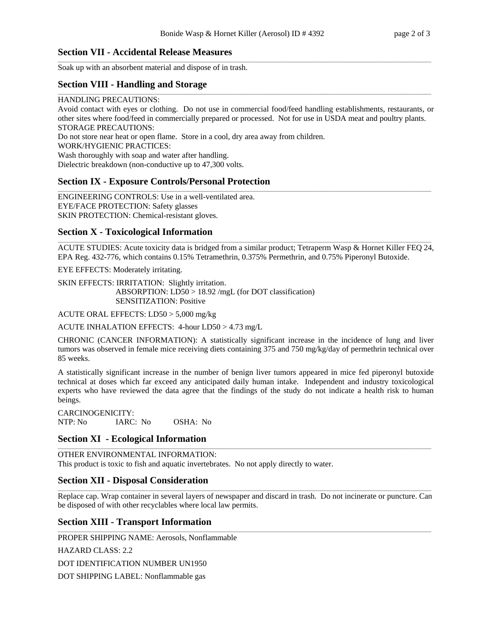\_\_\_\_\_\_\_\_\_\_\_\_\_\_\_\_\_\_\_\_\_\_\_\_\_\_\_\_\_\_\_\_\_\_\_\_\_\_\_\_\_\_\_\_\_\_\_\_\_\_\_\_\_\_\_\_\_\_\_\_\_\_\_\_\_\_\_\_\_\_\_\_\_\_\_\_\_\_\_\_\_\_\_\_\_\_\_\_\_\_\_\_\_\_\_\_\_\_\_\_\_\_\_\_\_\_\_\_\_\_\_\_\_\_\_\_\_\_\_\_\_\_\_\_\_\_\_\_\_\_\_\_\_\_\_\_\_\_\_\_\_\_\_\_\_\_\_\_\_\_\_\_\_\_\_

## **Section VII - Accidental Release Measures**

Soak up with an absorbent material and dispose of in trash.

## **Section VIII - Handling and Storage**

#### HANDLING PRECAUTIONS:

Avoid contact with eyes or clothing. Do not use in commercial food/feed handling establishments, restaurants, or other sites where food/feed in commercially prepared or processed. Not for use in USDA meat and poultry plants. STORAGE PRECAUTIONS:

\_\_\_\_\_\_\_\_\_\_\_\_\_\_\_\_\_\_\_\_\_\_\_\_\_\_\_\_\_\_\_\_\_\_\_\_\_\_\_\_\_\_\_\_\_\_\_\_\_\_\_\_\_\_\_\_\_\_\_\_\_\_\_\_\_\_\_\_\_\_\_\_\_\_\_\_\_\_\_\_\_\_\_\_\_\_\_\_\_\_\_\_\_\_\_\_\_\_\_\_\_\_\_\_\_\_\_\_\_\_\_\_\_\_\_\_\_\_\_\_\_\_\_\_\_\_\_\_\_\_\_\_\_\_\_\_\_\_\_\_\_\_\_\_\_\_\_\_\_\_\_\_\_\_\_

Do not store near heat or open flame. Store in a cool, dry area away from children.

WORK/HYGIENIC PRACTICES:

Wash thoroughly with soap and water after handling.

Dielectric breakdown (non-conductive up to 47,300 volts.

## **Section IX - Exposure Controls/Personal Protection**

ENGINEERING CONTROLS: Use in a well-ventilated area. EYE/FACE PROTECTION: Safety glasses SKIN PROTECTION: Chemical-resistant gloves.

#### **Section X - Toxicological Information**

\_\_\_\_\_\_\_\_\_\_\_\_\_\_\_\_\_\_\_\_\_\_\_\_\_\_\_\_\_\_\_\_\_\_\_\_\_\_\_\_\_\_\_\_\_\_\_\_\_\_\_\_\_\_\_\_\_\_\_\_\_\_\_\_\_\_\_\_\_\_\_\_\_\_\_\_\_\_\_\_\_\_\_\_\_\_\_\_\_\_\_\_\_\_\_\_\_\_\_\_\_\_\_\_\_\_\_\_\_\_\_\_\_\_\_\_\_\_\_\_\_\_\_\_\_\_\_\_\_\_\_\_\_\_\_\_\_\_\_\_\_\_\_\_\_\_\_\_\_\_\_\_\_\_\_ ACUTE STUDIES: Acute toxicity data is bridged from a similar product; Tetraperm Wasp & Hornet Killer FEQ 24, EPA Reg. 432-776, which contains 0.15% Tetramethrin, 0.375% Permethrin, and 0.75% Piperonyl Butoxide.

\_\_\_\_\_\_\_\_\_\_\_\_\_\_\_\_\_\_\_\_\_\_\_\_\_\_\_\_\_\_\_\_\_\_\_\_\_\_\_\_\_\_\_\_\_\_\_\_\_\_\_\_\_\_\_\_\_\_\_\_\_\_\_\_\_\_\_\_\_\_\_\_\_\_\_\_\_\_\_\_\_\_\_\_\_\_\_\_\_\_\_\_\_\_\_\_\_\_\_\_\_\_\_\_\_\_\_\_\_\_\_\_\_\_\_\_\_\_\_\_\_\_\_\_\_\_\_\_\_\_\_\_\_\_\_\_\_\_\_\_\_\_\_\_\_\_\_\_\_\_\_\_\_\_\_

EYE EFFECTS: Moderately irritating.

SKIN EFFECTS: IRRITATION: Slightly irritation. ABSORPTION: LD50 > 18.92 /mgL (for DOT classification) SENSITIZATION: Positive

ACUTE ORAL EFFECTS: LD50 > 5,000 mg/kg

ACUTE INHALATION EFFECTS: 4-hour LD50 > 4.73 mg/L

CHRONIC (CANCER INFORMATION): A statistically significant increase in the incidence of lung and liver tumors was observed in female mice receiving diets containing 375 and 750 mg/kg/day of permethrin technical over 85 weeks.

A statistically significant increase in the number of benign liver tumors appeared in mice fed piperonyl butoxide technical at doses which far exceed any anticipated daily human intake. Independent and industry toxicological experts who have reviewed the data agree that the findings of the study do not indicate a health risk to human beings.

CARCINOGENICITY: NTP: No IARC: No OSHA: No

## **Section XI - Ecological Information**

\_\_\_\_\_\_\_\_\_\_\_\_\_\_\_\_\_\_\_\_\_\_\_\_\_\_\_\_\_\_\_\_\_\_\_\_\_\_\_\_\_\_\_\_\_\_\_\_\_\_\_\_\_\_\_\_\_\_\_\_\_\_\_\_\_\_\_\_\_\_\_\_\_\_\_\_\_\_\_\_\_\_\_\_\_\_\_\_\_\_\_\_\_\_\_\_\_\_\_\_\_\_\_\_\_\_\_\_\_\_\_\_\_\_\_\_\_\_\_\_\_\_\_\_\_\_\_\_\_\_\_\_\_\_\_\_\_\_\_\_\_\_\_\_\_\_\_\_\_\_\_\_\_\_\_ OTHER ENVIRONMENTAL INFORMATION: This product is toxic to fish and aquatic invertebrates. No not apply directly to water.

#### **Section XII - Disposal Consideration**

\_\_\_\_\_\_\_\_\_\_\_\_\_\_\_\_\_\_\_\_\_\_\_\_\_\_\_\_\_\_\_\_\_\_\_\_\_\_\_\_\_\_\_\_\_\_\_\_\_\_\_\_\_\_\_\_\_\_\_\_\_\_\_\_\_\_\_\_\_\_\_\_\_\_\_\_\_\_\_\_\_\_\_\_\_\_\_\_\_\_\_\_\_\_\_\_\_\_\_\_\_\_\_\_\_\_\_\_\_\_\_\_\_\_\_\_\_\_\_\_\_\_\_\_\_\_\_\_\_\_\_\_\_\_\_\_\_\_\_\_\_\_\_\_\_\_\_\_\_\_\_\_\_\_\_ Replace cap. Wrap container in several layers of newspaper and discard in trash. Do not incinerate or puncture. Can be disposed of with other recyclables where local law permits.

\_\_\_\_\_\_\_\_\_\_\_\_\_\_\_\_\_\_\_\_\_\_\_\_\_\_\_\_\_\_\_\_\_\_\_\_\_\_\_\_\_\_\_\_\_\_\_\_\_\_\_\_\_\_\_\_\_\_\_\_\_\_\_\_\_\_\_\_\_\_\_\_\_\_\_\_\_\_\_\_\_\_\_\_\_\_\_\_\_\_\_\_\_\_\_\_\_\_\_\_\_\_\_\_\_\_\_\_\_\_\_\_\_\_\_\_\_\_\_\_\_\_\_\_\_\_\_\_\_\_\_\_\_\_\_\_\_\_\_\_\_\_\_\_\_\_\_\_\_\_\_\_\_\_\_

## **Section XIII - Transport Information**

PROPER SHIPPING NAME: Aerosols, Nonflammable HAZARD CLASS: 2.2 DOT IDENTIFICATION NUMBER UN1950 DOT SHIPPING LABEL: Nonflammable gas